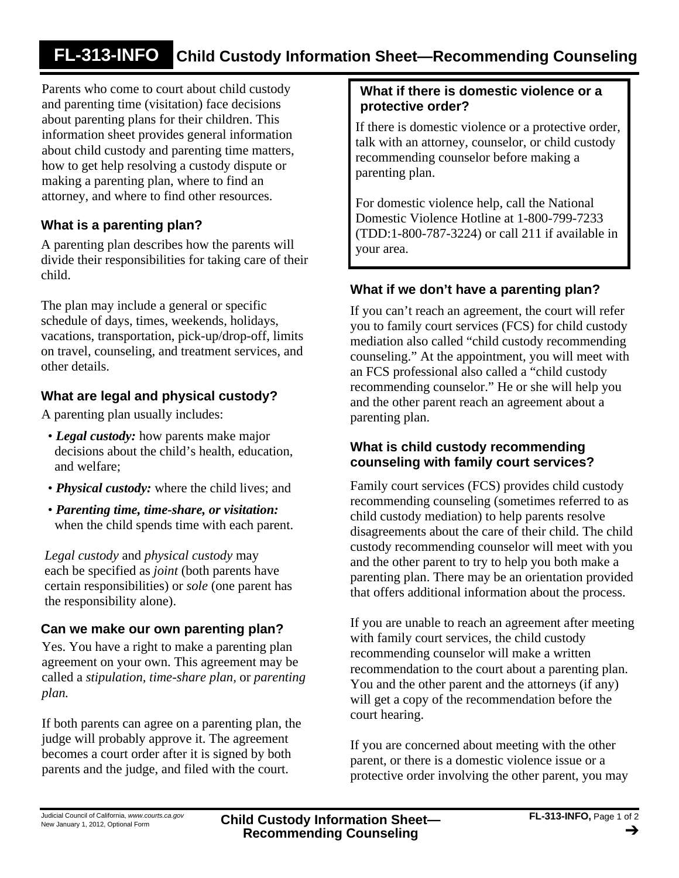# **FL-313-INFO Child Custody Information Sheet—Recommending Counseling**

Parents who come to court about child custody and parenting time (visitation) face decisions about parenting plans for their children. This information sheet provides general information about child custody and parenting time matters, how to get help resolving a custody dispute or making a parenting plan, where to find an attorney, and where to find other resources.

# **What is a parenting plan?**

A parenting plan describes how the parents will divide their responsibilities for taking care of their child.

The plan may include a general or specific schedule of days, times, weekends, holidays, vacations, transportation, pick-up/drop-off, limits on travel, counseling, and treatment services, and other details.

# **What are legal and physical custody?**

A parenting plan usually includes:

- *Legal custody:* how parents make major decisions about the child's health, education, and welfare;
- *Physical custody:* where the child lives; and
- *Parenting time, time-share, or visitation:* when the child spends time with each parent.

*Legal custody* and *physical custody* may each be specified as *joint* (both parents have certain responsibilities) or *sole* (one parent has the responsibility alone).

### **Can we make our own parenting plan?**

Yes. You have a right to make a parenting plan agreement on your own. This agreement may be called a *stipulation, time-share plan,* or *parenting plan.*

If both parents can agree on a parenting plan, the judge will probably approve it. The agreement becomes a court order after it is signed by both parents and the judge, and filed with the court.

# **What if there is domestic violence or a protective order?**

If there is domestic violence or a protective order, talk with an attorney, counselor, or child custody recommending counselor before making a parenting plan.

For domestic violence help, call the National Domestic Violence Hotline at 1-800-799-7233 (TDD:1-800-787-3224) or call 211 if available in your area.

## **What if we don't have a parenting plan?**

If you can't reach an agreement, the court will refer you to family court services (FCS) for child custody mediation also called "child custody recommending counseling." At the appointment, you will meet with an FCS professional also called a "child custody recommending counselor." He or she will help you and the other parent reach an agreement about a parenting plan.

### **What is child custody recommending counseling with family court services?**

Family court services (FCS) provides child custody recommending counseling (sometimes referred to as child custody mediation) to help parents resolve disagreements about the care of their child. The child custody recommending counselor will meet with you and the other parent to try to help you both make a parenting plan. There may be an orientation provided that offers additional information about the process.

If you are unable to reach an agreement after meeting with family court services, the child custody recommending counselor will make a written recommendation to the court about a parenting plan. You and the other parent and the attorneys (if any) will get a copy of the recommendation before the court hearing.

If you are concerned about meeting with the other parent, or there is a domestic violence issue or a protective order involving the other parent, you may